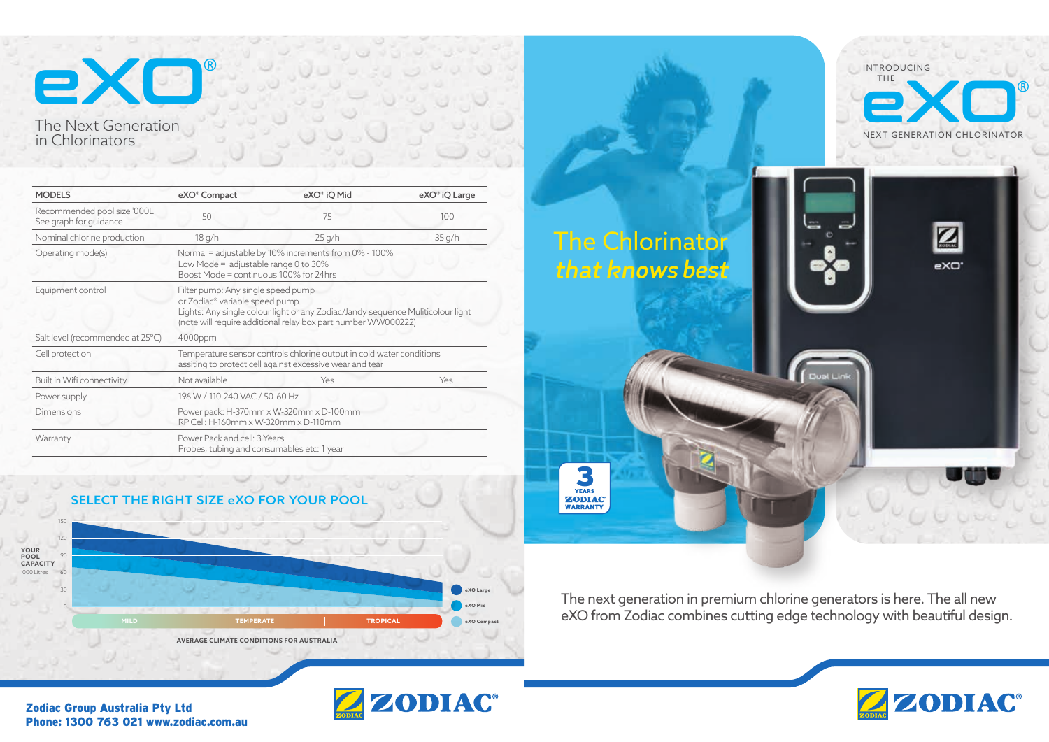# eXO® The Next Generation in Chlorinators

The Chlorinator **that knows best**

VEARS<br>ZODIAC®<br>WARRANTY

The next generation in premium chlorine generators is here. The all new eXO from Zodiac combines cutting edge technology with beautiful design.



Zodiac Group Australia Pty Ltd Phone: 1300 763 021 www.zodiac.com.au







| <b>MODELS</b>                                         | eXO <sup>®</sup> Compact                                                                                                                                                                                                              | eXO® iQ Mid | eXO <sup>®</sup> iQ Large |
|-------------------------------------------------------|---------------------------------------------------------------------------------------------------------------------------------------------------------------------------------------------------------------------------------------|-------------|---------------------------|
| Recommended pool size '000L<br>See graph for guidance | 50                                                                                                                                                                                                                                    | 75          | 100                       |
| Nominal chlorine production                           | 18 g/h                                                                                                                                                                                                                                | 25 g/h      | 35 g/h                    |
| Operating mode(s)                                     | Normal = adjustable by 10% increments from 0% - 100%<br>Low Mode = $\alpha$ djustable range 0 to 30%<br>Boost Mode = continuous 100% for 24hrs                                                                                        |             |                           |
| Equipment control                                     | Filter pump: Any single speed pump<br>or Zodiac <sup>®</sup> variable speed pump.<br>Lights: Any single colour light or any Zodiac/Jandy sequence Muliticolour light<br>(note will require additional relay box part number WW000222) |             |                           |
| Salt level (recommended at 25°C)                      | 4000ppm                                                                                                                                                                                                                               |             |                           |
| Cell protection                                       | Temperature sensor controls chlorine output in cold water conditions<br>assiting to protect cell against excessive wear and tear                                                                                                      |             |                           |
| Built in Wifi connectivity                            | Not available                                                                                                                                                                                                                         | Yes         | Yes                       |
| Power supply                                          | 196 W / 110-240 VAC / 50-60 Hz                                                                                                                                                                                                        |             |                           |
| <b>Dimensions</b>                                     | Power pack: H-370mm x W-320mm x D-100mm<br>RP Cell: H-160mm x W-320mm x D-110mm                                                                                                                                                       |             |                           |
| Warranty                                              | Power Pack and cell: 3 Years<br>Probes, tubing and consumables etc: 1 year                                                                                                                                                            |             |                           |